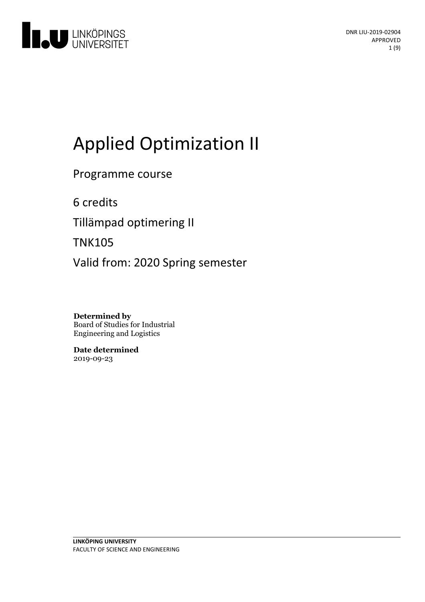

# Applied Optimization II

Programme course

6 credits

Tillämpad optimering II

TNK105

Valid from: 2020 Spring semester

**Determined by** Board of Studies for Industrial Engineering and Logistics

**Date determined** 2019-09-23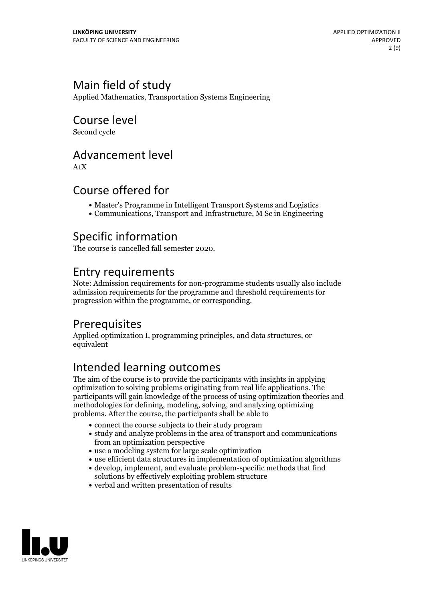# Main field of study

Applied Mathematics, Transportation Systems Engineering

# Course level

Second cycle

### Advancement level

A1X

## Course offered for

- Master's Programme in Intelligent Transport Systems and Logistics
- Communications, Transport and Infrastructure, M Sc in Engineering

## Specific information

The course is cancelled fall semester 2020.

### Entry requirements

Note: Admission requirements for non-programme students usually also include admission requirements for the programme and threshold requirements for progression within the programme, or corresponding.

## **Prerequisites**

Applied optimization I, programming principles, and data structures, or equivalent

# Intended learning outcomes

The aim of the course is to provide the participants with insights in applying optimization to solving problems originating from real life applications. The participants will gain knowledge of the process of using optimization theories and methodologies for defining, modeling, solving, and analyzing optimizing problems. After the course, the participants shall be able to

- connect the course subjects to their study program
- study and analyze problems in the area of transport and communications from an optimization perspective
- use a modeling system for large scale optimization
- use efficient data structures in implementation of optimization algorithms
- develop, implement, and evaluate problem-specific methods that find solutions by effectively exploiting problem structure
- verbal and written presentation of results

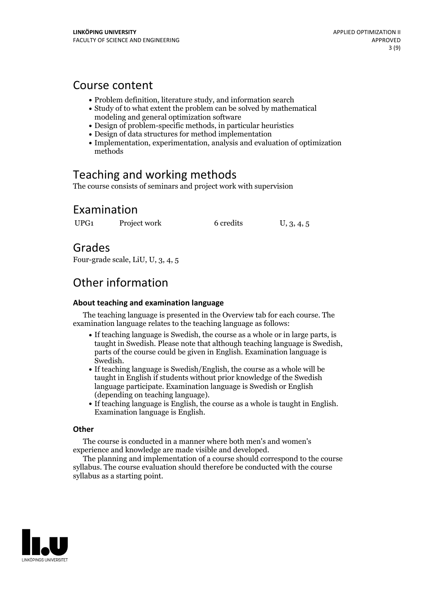### Course content

- Problem definition, literature study, and information search
- Study of to what extent the problem can be solved by mathematical modeling and general optimization software
- Design of problem-specific methods, in particular heuristics
- Design of data structures for method implementation
- Implementation, experimentation, analysis and evaluation of optimization methods

# Teaching and working methods

The course consists of seminars and project work with supervision

## Examination

UPG1 Project work 6 credits U, 3, 4, 5

Grades

Four-grade scale, LiU, U, 3, 4, 5

# Other information

### **About teaching and examination language**

The teaching language is presented in the Overview tab for each course. The examination language relates to the teaching language as follows:

- If teaching language is Swedish, the course as a whole or in large parts, is taught in Swedish. Please note that although teaching language is Swedish, parts of the course could be given in English. Examination language is Swedish.<br>• If teaching language is Swedish/English, the course as a whole will be
- taught in English if students without prior knowledge of the Swedish language participate. Examination language is Swedish or English
- (depending on teaching language).<br>• If teaching language is English, the course as a whole is taught in English.<br>Examination language is English.

### **Other**

The course is conducted in a manner where both men's and women's

The planning and implementation of a course should correspond to the course syllabus. The course evaluation should therefore be conducted with the course syllabus as a starting point.

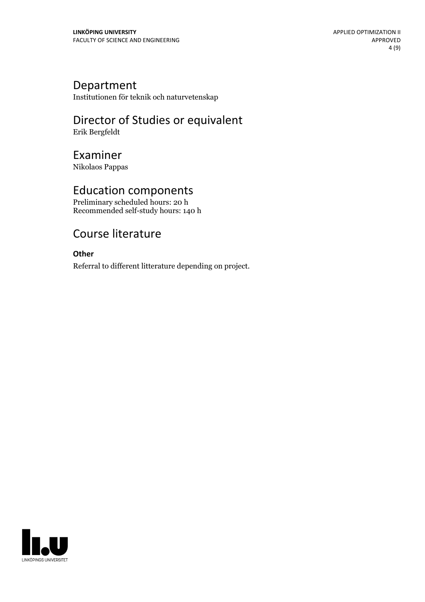### Department

Institutionen för teknik och naturvetenskap

# Director of Studies or equivalent

Erik Bergfeldt

# Examiner

Nikolaos Pappas

## Education components

Preliminary scheduled hours: 20 h Recommended self-study hours: 140 h

# Course literature

### **Other**

Referral to different litterature depending on project.

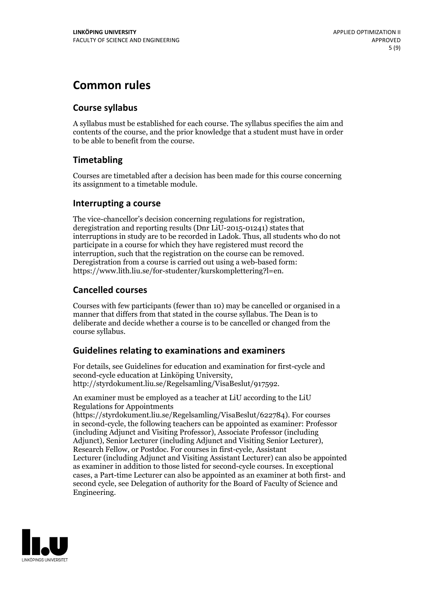# **Common rules**

### **Course syllabus**

A syllabus must be established for each course. The syllabus specifies the aim and contents of the course, and the prior knowledge that a student must have in order to be able to benefit from the course.

### **Timetabling**

Courses are timetabled after a decision has been made for this course concerning its assignment to a timetable module.

### **Interrupting a course**

The vice-chancellor's decision concerning regulations for registration, deregistration and reporting results (Dnr LiU-2015-01241) states that interruptions in study are to be recorded in Ladok. Thus, all students who do not participate in a course for which they have registered must record the interruption, such that the registration on the course can be removed. Deregistration from <sup>a</sup> course is carried outusing <sup>a</sup> web-based form: https://www.lith.liu.se/for-studenter/kurskomplettering?l=en.

### **Cancelled courses**

Courses with few participants (fewer than 10) may be cancelled or organised in a manner that differs from that stated in the course syllabus. The Dean is to deliberate and decide whether a course is to be cancelled or changed from the course syllabus.

### **Guidelines relatingto examinations and examiners**

For details, see Guidelines for education and examination for first-cycle and second-cycle education at Linköping University, http://styrdokument.liu.se/Regelsamling/VisaBeslut/917592.

An examiner must be employed as a teacher at LiU according to the LiU Regulations for Appointments

(https://styrdokument.liu.se/Regelsamling/VisaBeslut/622784). For courses in second-cycle, the following teachers can be appointed as examiner: Professor (including Adjunct and Visiting Professor), Associate Professor (including Adjunct), Senior Lecturer (including Adjunct and Visiting Senior Lecturer), Research Fellow, or Postdoc. For courses in first-cycle, Assistant Lecturer (including Adjunct and Visiting Assistant Lecturer) can also be appointed as examiner in addition to those listed for second-cycle courses. In exceptional cases, a Part-time Lecturer can also be appointed as an examiner at both first- and second cycle, see Delegation of authority for the Board of Faculty of Science and Engineering.

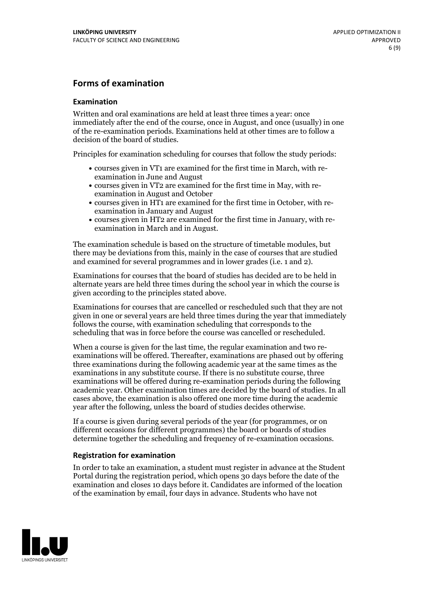### **Forms of examination**

#### **Examination**

Written and oral examinations are held at least three times a year: once immediately after the end of the course, once in August, and once (usually) in one of the re-examination periods. Examinations held at other times are to follow a decision of the board of studies.

Principles for examination scheduling for courses that follow the study periods:

- courses given in VT1 are examined for the first time in March, with re-examination in June and August
- courses given in VT2 are examined for the first time in May, with re-examination in August and October
- courses given in HT1 are examined for the first time in October, with re-examination in January and August
- courses given in HT2 are examined for the first time in January, with re-examination in March and in August.

The examination schedule is based on the structure of timetable modules, but there may be deviations from this, mainly in the case of courses that are studied and examined for several programmes and in lower grades (i.e. 1 and 2).

Examinations for courses that the board of studies has decided are to be held in alternate years are held three times during the school year in which the course is given according to the principles stated above.

Examinations for courses that are cancelled orrescheduled such that they are not given in one or several years are held three times during the year that immediately follows the course, with examination scheduling that corresponds to the scheduling that was in force before the course was cancelled or rescheduled.

When a course is given for the last time, the regular examination and two re-<br>examinations will be offered. Thereafter, examinations are phased out by offering three examinations during the following academic year at the same times as the examinations in any substitute course. If there is no substitute course, three examinations will be offered during re-examination periods during the following academic year. Other examination times are decided by the board of studies. In all cases above, the examination is also offered one more time during the academic year after the following, unless the board of studies decides otherwise.

If a course is given during several periods of the year (for programmes, or on different occasions for different programmes) the board or boards of studies determine together the scheduling and frequency of re-examination occasions.

#### **Registration for examination**

In order to take an examination, a student must register in advance at the Student Portal during the registration period, which opens 30 days before the date of the examination and closes 10 days before it. Candidates are informed of the location of the examination by email, four days in advance. Students who have not

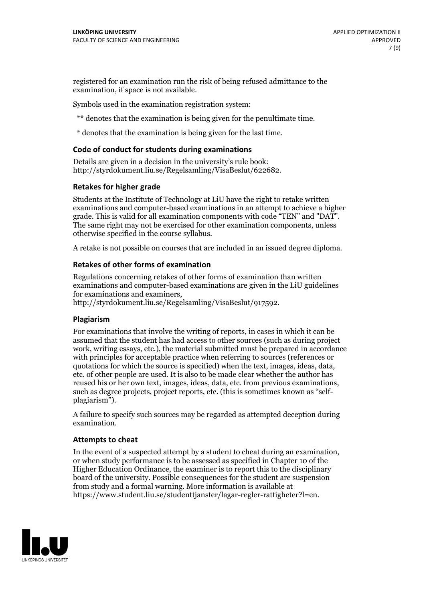registered for an examination run the risk of being refused admittance to the examination, if space is not available.

Symbols used in the examination registration system:

\*\* denotes that the examination is being given for the penultimate time.

\* denotes that the examination is being given for the last time.

#### **Code of conduct for students during examinations**

Details are given in a decision in the university's rule book: http://styrdokument.liu.se/Regelsamling/VisaBeslut/622682.

#### **Retakes for higher grade**

Students at the Institute of Technology at LiU have the right to retake written examinations and computer-based examinations in an attempt to achieve a higher grade. This is valid for all examination components with code "TEN" and "DAT". The same right may not be exercised for other examination components, unless otherwise specified in the course syllabus.

A retake is not possible on courses that are included in an issued degree diploma.

#### **Retakes of other forms of examination**

Regulations concerning retakes of other forms of examination than written examinations and computer-based examinations are given in the LiU guidelines

http://styrdokument.liu.se/Regelsamling/VisaBeslut/917592.

#### **Plagiarism**

For examinations that involve the writing of reports, in cases in which it can be assumed that the student has had access to other sources (such as during project work, writing essays, etc.), the material submitted must be prepared in accordance with principles for acceptable practice when referring to sources (references or quotations for which the source is specified) when the text, images, ideas, data,  $\vec{e}$  etc. of other people are used. It is also to be made clear whether the author has reused his or her own text, images, ideas, data, etc. from previous examinations, such as degree projects, project reports, etc. (this is sometimes known as "self- plagiarism").

A failure to specify such sources may be regarded as attempted deception during examination.

#### **Attempts to cheat**

In the event of <sup>a</sup> suspected attempt by <sup>a</sup> student to cheat during an examination, or when study performance is to be assessed as specified in Chapter <sup>10</sup> of the Higher Education Ordinance, the examiner is to report this to the disciplinary board of the university. Possible consequences for the student are suspension from study and a formal warning. More information is available at https://www.student.liu.se/studenttjanster/lagar-regler-rattigheter?l=en.

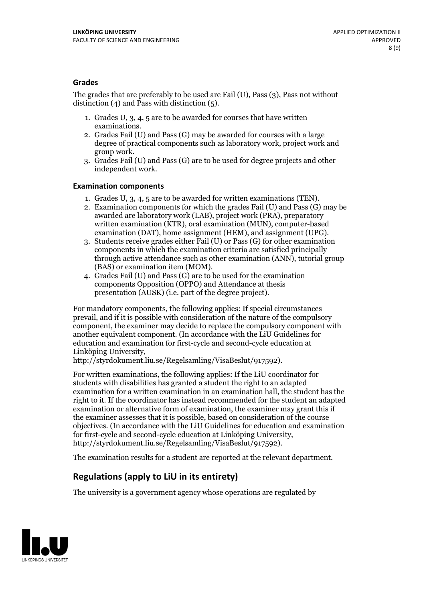### **Grades**

The grades that are preferably to be used are Fail (U), Pass (3), Pass not without distinction  $(4)$  and Pass with distinction  $(5)$ .

- 1. Grades U, 3, 4, 5 are to be awarded for courses that have written
- examinations. 2. Grades Fail (U) and Pass (G) may be awarded for courses with <sup>a</sup> large degree of practical components such as laboratory work, project work and group work. 3. Grades Fail (U) and Pass (G) are to be used for degree projects and other
- independent work.

#### **Examination components**

- 
- 1. Grades U, 3, 4, <sup>5</sup> are to be awarded for written examinations (TEN). 2. Examination components for which the grades Fail (U) and Pass (G) may be awarded are laboratory work (LAB), project work (PRA), preparatory written examination (KTR), oral examination (MUN), computer-based
- examination (DAT), home assignment (HEM), and assignment (UPG). 3. Students receive grades either Fail (U) or Pass (G) for other examination components in which the examination criteria are satisfied principally through active attendance such as other examination (ANN), tutorial group
- (BAS) or examination item (MOM). 4. Grades Fail (U) and Pass (G) are to be used for the examination components Opposition (OPPO) and Attendance at thesis presentation (AUSK) (i.e. part of the degree project).

For mandatory components, the following applies: If special circumstances prevail, and if it is possible with consideration of the nature of the compulsory component, the examiner may decide to replace the compulsory component with another equivalent component. (In accordance with the LiU Guidelines for education and examination for first-cycle and second-cycle education at Linköping University, http://styrdokument.liu.se/Regelsamling/VisaBeslut/917592).

For written examinations, the following applies: If the LiU coordinator for students with disabilities has granted a student the right to an adapted examination for a written examination in an examination hall, the student has the right to it. If the coordinator has instead recommended for the student an adapted examination or alternative form of examination, the examiner may grant this if the examiner assesses that it is possible, based on consideration of the course objectives. (In accordance with the LiU Guidelines for education and examination for first-cycle and second-cycle education at Linköping University, http://styrdokument.liu.se/Regelsamling/VisaBeslut/917592).

The examination results for a student are reported at the relevant department.

### **Regulations (applyto LiU in its entirety)**

The university is a government agency whose operations are regulated by